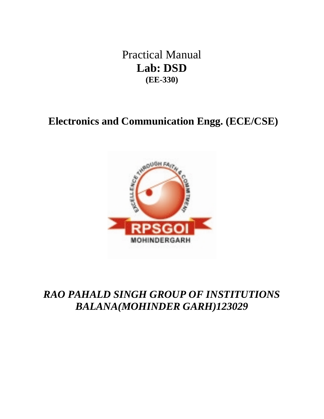Practical Manual **Lab: DSD (EE-330)**

# **Electronics and Communication Engg. (ECE/CSE)**



# *RAO PAHALD SINGH GROUP OF INSTITUTIONS BALANA(MOHINDER GARH)123029*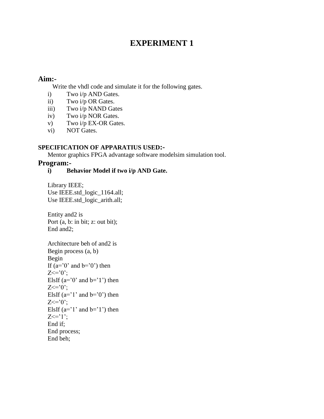# **EXPERIMENT 1**

### **Aim:-**

Write the vhdl code and simulate it for the following gates.

- i) Two i/p AND Gates.
- ii) Two i/p OR Gates.
- iii) Two i/p NAND Gates
- iv) Two i/p NOR Gates.
- v) Two i/p EX-OR Gates.
- vi) NOT Gates.

### **SPECIFICATION OF APPARATIUS USED:-**

Mentor graphics FPGA advantage software modelsim simulation tool.

### **Program:-**

### **i) Behavior Model if two i/p AND Gate.**

Library IEEE; Use IEEE.std\_logic\_1164.all; Use IEEE.std\_logic\_arith.all;

Entity and2 is Port (a, b: in bit; z: out bit); End and2;

```
Architecture beh of and2 is
Begin process (a, b)
Begin
If (a=0' and b=0' then
Z \leq v^2ElsIf (a=0' and b=1') then
Z \leq v^2ElsIf (a=1' and b=0' then
Z \leq v^2ElsIf (a=1' and b=1') then
Z \leq T';
End if;
End process;
End beh;
```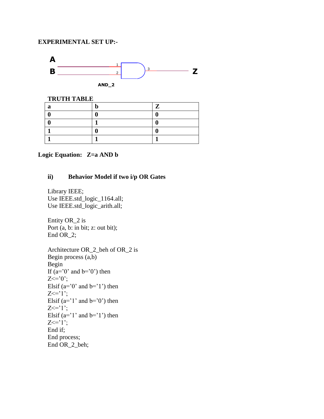

**TRUTH TABLE a b**  $|Z|$ **0 0 0 0 1 1 0**  $\begin{array}{ccc} 1 & 0 & 0 \end{array}$ **1 1 1**

### **Logic Equation: Z=a AND b**

### **ii) Behavior Model if two i/p OR Gates**

Library IEEE; Use IEEE.std\_logic\_1164.all; Use IEEE.std\_logic\_arith.all;

Entity OR\_2 is Port (a, b: in bit; z: out bit); End OR\_2;

Architecture OR\_2\_beh of OR\_2 is Begin process (a,b) Begin If  $(a=0'$  and  $b=0'$  then  $Z \leq v$ ; Elsif  $(a=0'$  and  $b=1'$ ) then  $Z \leq 1$ ; Elsif  $(a=1'$  and  $b=0'$ ) then  $Z \leq T'$ ; Elsif  $(a=1'$  and  $b=1'$ ) then  $Z \leq 1$ ; End if; End process; End OR\_2\_beh;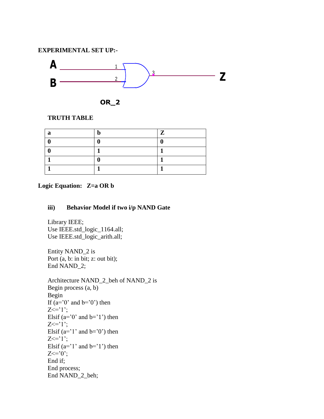

$$
OR\_2
$$

### **TRUTH TABLE**

| a | $\mathbf{Z}$ |
|---|--------------|
|   |              |
|   |              |
|   |              |
|   |              |

### **Logic Equation: Z=a OR b**

### **iii) Behavior Model if two i/p NAND Gate**

 Library IEEE; Use IEEE.std\_logic\_1164.all; Use IEEE.std\_logic\_arith.all;

Entity NAND\_2 is Port (a, b: in bit; z: out bit); End NAND\_2;

Architecture NAND\_2\_beh of NAND\_2 is Begin process (a, b) Begin If  $(a=0'$  and  $b=0'$  then  $Z \leq T$ '; Elsif  $(a=0'$  and  $b=1'$ ) then  $Z \leq T'$ ; Elsif  $(a=1'$  and  $b=0'$  then  $Z \leq T'$ : Elsif  $(a=1'$  and  $b=1'$ ) then  $Z \leq v$ ; End if; End process; End NAND\_2\_beh;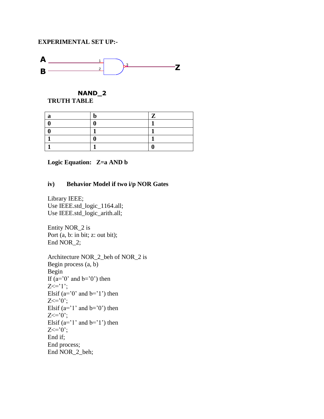

#### **NAND\_2 TRUTH TABLE**

### **Logic Equation: Z=a AND b**

### **iv) Behavior Model if two i/p NOR Gates**

Library IEEE; Use IEEE.std\_logic\_1164.all; Use IEEE.std\_logic\_arith.all;

Entity NOR\_2 is Port (a, b: in bit; z: out bit); End NOR\_2;

```
Architecture NOR_2_beh of NOR_2 is
Begin process (a, b)
Begin
If (a=0' and b=0' then
Z \leq T':
Elsif (a=0' and b=1') then
Z \leq vElsif (a= '1' and b= '0') then
Z \leq v;
Elsif (a= '1' and b= '1') then
Z \leq v;
End if;
End process;
 End NOR_2_beh;
```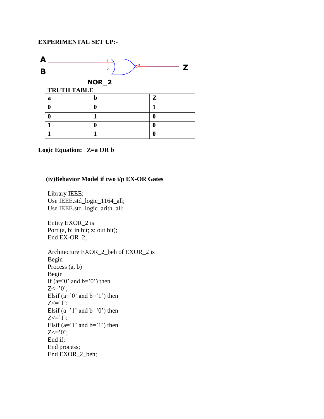

#### **Logic Equation: Z=a OR b**

#### **(iv)Behavior Model if two i/p EX-OR Gates**

Library IEEE; Use IEEE.std\_logic\_1164\_all; Use IEEE.std\_logic\_arith\_all;

Entity EXOR\_2 is Port (a, b: in bit; z: out bit); End EX-OR\_2;

Architecture EXOR\_2\_beh of EXOR\_2 is Begin Process (a, b) Begin If  $(a=0'$  and  $b=0'$  then  $Z \leq v$ "; Elsif ( $a=0$ ' and  $b=1$ ') then  $Z \leq T'$ : Elsif  $(a=1'$  and  $b=0'$ ) then  $Z \leq T'$ ; Elsif  $(a=1'$  and  $b=1'$ ) then  $Z \leq v$ End if; End process; End EXOR\_2\_beh;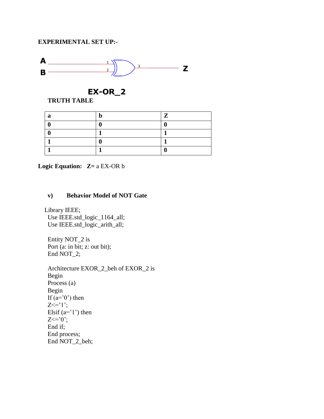

**EX-OR\_2**

### **TRUTH TABLE**

| a | n | $\mathbf{Z}$ |
|---|---|--------------|
|   |   |              |
|   |   |              |
|   |   |              |
|   |   |              |

**Logic Equation: Z=** a EX-OR b

### **v) Behavior Model of NOT Gate**

 Library IEEE; Use IEEE.std\_logic\_1164\_all; Use IEEE.std\_logic\_arith\_all;

Entity NOT\_2 is Port (a: in bit; z: out bit); End NOT\_2;

Architecture EXOR\_2\_beh of EXOR\_2 is Begin Process (a) Begin If  $(a=0')$  then  $Z \leq T$ '; Elsif  $(a=1')$  then  $Z \leq v$ ; End if; End process; End NOT\_2\_beh;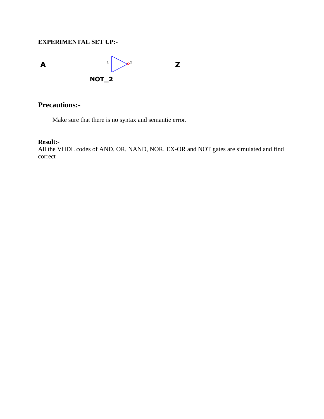

## **Precautions:-**

Make sure that there is no syntax and semantie error.

#### **Result:-**

All the VHDL codes of AND, OR, NAND, NOR, EX-OR and NOT gates are simulated and find correct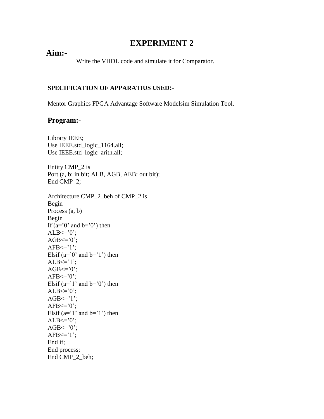# **EXPERIMENT 2**

## **Aim:-**

Write the VHDL code and simulate it for Comparator.

### **SPECIFICATION OF APPARATIUS USED:-**

Mentor Graphics FPGA Advantage Software Modelsim Simulation Tool.

### **Program:-**

Library IEEE; Use IEEE.std\_logic\_1164.all; Use IEEE.std\_logic\_arith.all;

Entity CMP\_2 is Port (a, b: in bit; ALB, AGB, AEB: out bit); End CMP\_2;

Architecture CMP\_2\_beh of CMP\_2 is Begin Process (a, b) Begin If  $(a=0'$  and  $b=0'$  then  $ALB \leq v$  $AGB \leq v$ ;  $AFB \leq 1$ ; Elsif ( $a=0$ ' and  $b=1$ ') then  $ALB \leq 1$ ;  $AGB \leq v$  $AFB \leq v$ Elsif  $(a=']'$  and  $b='0'$ ) then  $ALB \leq v$  $AGB \leq 1$ ;  $AFB \leq v$ Elsif  $(a=1'$  and  $b=1'$ ) then  $ALB \leq v$  $AGB \leq v$  $AFB \leq 1$ ; End if; End process; End CMP\_2\_beh;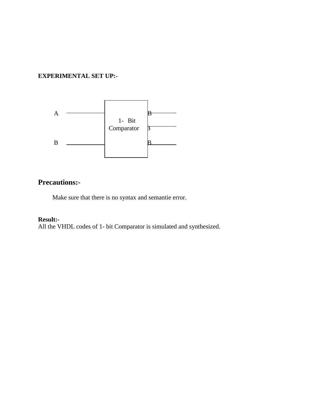

# **Precautions:-**

Make sure that there is no syntax and semantie error.

### **Result:-**

All the VHDL codes of 1- bit Comparator is simulated and synthesized.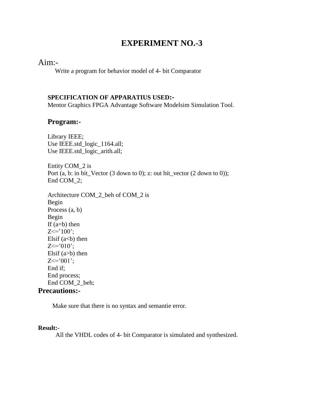### Aim:-

Write a program for behavior model of 4- bit Comparator

### **SPECIFICATION OF APPARATIUS USED:-**

Mentor Graphics FPGA Advantage Software Modelsim Simulation Tool.

### **Program:-**

Library IEEE; Use IEEE.std\_logic\_1164.all; Use IEEE.std\_logic\_arith.all;

Entity COM\_2 is Port (a, b: in bit\_Vector (3 down to 0); z: out bit\_vector (2 down to 0)); End COM\_2;

Architecture COM\_2\_beh of COM\_2 is Begin Process (a, b) Begin If  $(a=b)$  then  $Z \leq 100$ ; Elsif  $(a< b)$  then  $Z \le 010$ ; Elsif  $(a>b)$  then  $Z \le 001$ ; End if; End process; End COM\_2\_beh;

### **Precautions:-**

Make sure that there is no syntax and semantie error.

#### **Result:-**

All the VHDL codes of 4- bit Comparator is simulated and synthesized.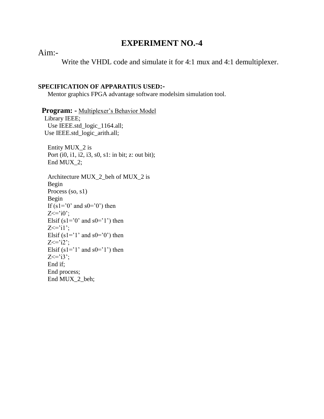### Aim:-

Write the VHDL code and simulate it for 4:1 mux and 4:1 demultiplexer.

#### **SPECIFICATION OF APPARATIUS USED:-**

Mentor graphics FPGA advantage software modelsim simulation tool.

Program: - Multiplexer's Behavior Model Library IEEE; Use IEEE.std\_logic\_1164.all; Use IEEE.std\_logic\_arith.all; Entity MUX\_2 is Port (i0, i1, i2, i3, s0, s1: in bit; z: out bit);

End MUX\_2;

```
Architecture MUX_2_beh of MUX_2 is
Begin 
Process (so, s1)
Begin
If (s1=0' and s0=0' then
Z \leq i0.
Elsif (s1=0' and s0=1') then
Z \leq i1;
Elsif (s1=1' and s0=0') then
Z \leq i2Elsif (s1=1' and s0=1') then
Z \leq i3;
End if;
End process;
 End MUX_2_beh;
```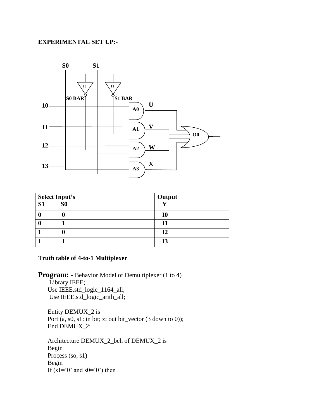

| <b>Select Input's</b> |                | <b>Output</b> |
|-----------------------|----------------|---------------|
| S <sub>1</sub>        | S <sub>0</sub> |               |
| 0                     |                | 10            |
|                       |                | 11            |
|                       |                | 12            |
|                       |                | <b>I3</b>     |

### **Truth table of 4-to-1 Multiplexer**

Program: - Behavior Model of Demultiplexer (1 to 4) Library IEEE;

Use IEEE.std\_logic\_1164\_all; Use IEEE.std\_logic\_arith\_all;

Entity DEMUX\_2 is Port (a, s0, s1: in bit; z: out bit\_vector (3 down to 0)); End DEMUX 2;

Architecture DEMUX\_2\_beh of DEMUX\_2 is Begin Process (so, s1) Begin If  $(s1=0$ ' and  $s0=0$ ') then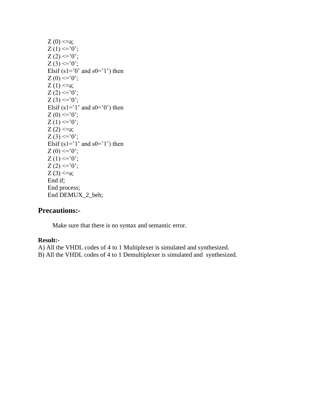```
Z(0) \le a;
Z(1) \leq 0;
Z(2) \leq 0;
Z(3) \leq 0;
Elsif (s1=^{\circ}0' and s0=^{\circ}1') then
Z(0) \leq 0;
Z(1) \le a;Z(2) \leq 0;
Z(3) \leq 0;
Elsif (s1=1' and s0=0') then
Z(0) \leq 0;
Z(1) \leq 0;
Z(2) \le a;Z(3) \leq 0;
Elsif (s1=1' and s0=1') then
Z(0) \leq 0;
Z(1) \leq 0;
Z(2) \leq 0;
Z(3) \le a;End if;
End process;
 End DEMUX_2_beh;
```
### **Precautions:-**

Make sure that there is no syntax and semantic error.

#### **Result:-**

A) All the VHDL codes of 4 to 1 Multiplexer is simulated and synthesized.

B) All the VHDL codes of 4 to 1 Demultiplexer is simulated and synthesized.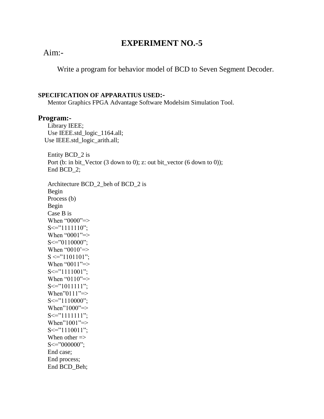# Aim:-

Write a program for behavior model of BCD to Seven Segment Decoder.

#### **SPECIFICATION OF APPARATIUS USED:-**

Mentor Graphics FPGA Advantage Software Modelsim Simulation Tool.

### **Program:-**

Library IEEE; Use IEEE.std\_logic\_1164.all; Use IEEE.std\_logic\_arith.all;

Entity BCD\_2 is Port (b: in bit\_Vector (3 down to 0); z: out bit\_vector (6 down to 0)); End BCD 2;

Architecture BCD\_2\_beh of BCD\_2 is Begin Process (b) Begin Case B is When "0000"=>  $S \leq "1111110"$ ; When "0001"=>  $S \leq v$  20110000"; When " $0010$ "=>  $S \leq "1101101"$ ; When "0011"=>  $S \leq "1111001"$ ; When "0110"=>  $S \leq "1011111"$ : When"0111"=>  $S \leq Y$  1110000"; When"1000"=>  $S \leq "1111111"$ ; When"1001"=>  $S \leq "1110011"$ ; When other  $\Rightarrow$  $S \leq v$  =  $000000$ "; End case; End process; End BCD\_Beh;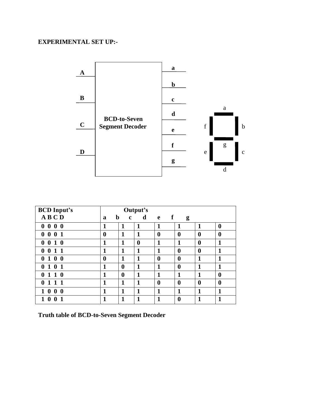

| <b>BCD Input's</b>                   | Output's         |                            |                  |                              |                  |          |                  |  |
|--------------------------------------|------------------|----------------------------|------------------|------------------------------|------------------|----------|------------------|--|
| ABCD                                 | a                | $\mathbf b$<br>$\mathbf c$ | d                | $\mathbf{f}$<br>$\mathbf{e}$ | g                |          |                  |  |
| 000<br>$\bf{0}$                      | 1                | 1                          | 1                | 1                            | 1                | 1        | $\bf{0}$         |  |
| $0\;0\;1$<br>$\bf{0}$                | $\boldsymbol{0}$ | 1                          | 1                | $\boldsymbol{0}$             | $\boldsymbol{0}$ | $\bf{0}$ | $\boldsymbol{0}$ |  |
| 0 <sub>1</sub><br>$\bf{0}$<br>0      | 1                | 1                          | $\boldsymbol{0}$ | 1                            | 1                | $\bf{0}$ | 1                |  |
| $\bf{0}$<br>$\mathbf 1$<br>1<br>0    | 1                | 1                          | 1                | 1                            | $\boldsymbol{0}$ | $\bf{0}$ | 1                |  |
| $1\;\mathbf{0}$<br>$\mathbf{0}$<br>0 | $\boldsymbol{0}$ | 1                          | 1                | $\boldsymbol{0}$             | $\boldsymbol{0}$ | 1        | 1                |  |
| $\bf{0}$<br>$\mathbf 1$<br>1<br>0    | 1                | $\bf{0}$                   | 1                | 1                            | $\boldsymbol{0}$ | 1        | 1                |  |
| $\bf{0}$<br>$1\,1$<br>0              | 1                | $\bf{0}$                   | 1                | 1                            | 1                | 1        | 0                |  |
| $1\;1$<br>$\mathbf{1}$<br>0          | 1                | 1                          | 1                | $\boldsymbol{0}$             | $\boldsymbol{0}$ | $\bf{0}$ | $\bf{0}$         |  |
| $\bf{0}$<br>$\bf{0}$<br>$\bf{0}$     | 1                | 1                          | 1                | 1                            | 1                | 1        | 1                |  |
| $\mathbf{0}$<br>0                    | 1                | 1                          | 1                | 1                            | $\bf{0}$         | 1        | 1                |  |

**Truth table of BCD-to-Seven Segment Decoder**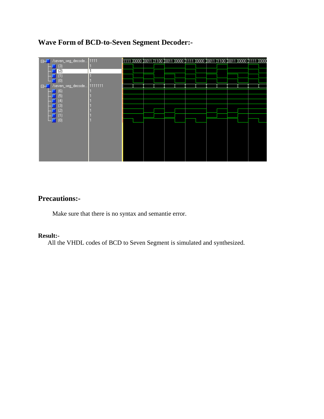# **Wave Form of BCD-to-Seven Segment Decoder:-**

| E-L /seven_seg_decode 1111<br>$\left(3\right)$<br>$^{(2)}$<br>11<br>$\left( 0\right)$ | <u>1111 (0000 10011 1100 10011 10000 11111 10000 10011 11100 10011 10000 11111 10000</u> |  |  |  |  |  |  |
|---------------------------------------------------------------------------------------|------------------------------------------------------------------------------------------|--|--|--|--|--|--|
| E-C /seven_seg_decode 1111111<br>(6)<br>0<br>м<br>3<br>2                              |                                                                                          |  |  |  |  |  |  |
| $\blacksquare$ (0)                                                                    |                                                                                          |  |  |  |  |  |  |

## **Precautions:-**

Make sure that there is no syntax and semantie error.

#### **Result:-**

All the VHDL codes of BCD to Seven Segment is simulated and synthesized.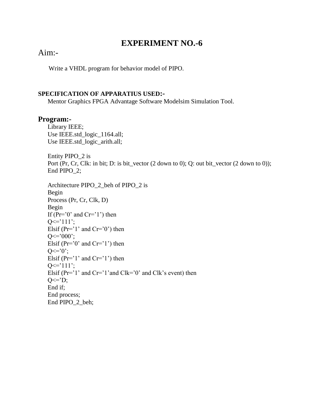## Aim:-

Write a VHDL program for behavior model of PIPO.

#### **SPECIFICATION OF APPARATIUS USED:-**

Mentor Graphics FPGA Advantage Software Modelsim Simulation Tool.

### **Program:-**

 Library IEEE; Use IEEE.std\_logic\_1164.all; Use IEEE.std\_logic\_arith.all;

Entity PIPO\_2 is Port (Pr, Cr, Clk: in bit; D: is bit\_vector (2 down to 0); Q: out bit\_vector (2 down to 0)); End PIPO\_2;

```
Architecture PIPO_2_beh of PIPO_2 is
Begin 
Process (Pr, Cr, Clk, D)
Begin
If (Pr='0' and Cr='1') then
Q \leq 111;
Elsif (Pr='1' and Cr='0') then
Q \leq 000;
Elsif (Pr='0' and Cr='1') then
Q \leq v^2Elsif (Pr='1' and Cr='1') then
Q \leq 111;
Elsif (Pr='1' and Cr='1' and Clk='0' and Clk's event) then
O \leq D;
End if;
End process;
 End PIPO_2_beh;
```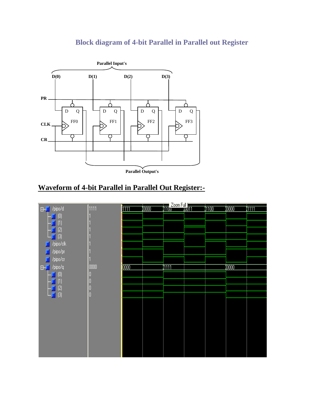# **Block diagram of 4-bit Parallel in Parallel out Register**



**Parallel Output's**

# **Waveform of 4-bit Parallel in Parallel Out Register:-**

| E-T /pipo/d                  | 1111 | <b>inn</b> | $\overline{\text{0000}}$ | <b>TTL</b> Zoom Full<br>ATTLD | $\sqrt[4]{1100}$ | $\sqrt[4]{0000}$ | 1111 |
|------------------------------|------|------------|--------------------------|-------------------------------|------------------|------------------|------|
| $\left( 0 \right)$           |      |            |                          |                               |                  |                  |      |
|                              |      |            |                          |                               |                  |                  |      |
| $\left( 1\right)$            |      |            |                          |                               |                  |                  |      |
| (2)                          |      |            |                          |                               |                  |                  |      |
| $ \blacksquare$ $(3)$        |      |            |                          |                               |                  |                  |      |
| $\Box$ /pipo/clk             |      |            |                          |                               |                  |                  |      |
| $\blacksquare$ /pipo/pr      |      |            |                          |                               |                  |                  |      |
|                              |      |            |                          |                               |                  |                  |      |
| $\Box$ /pipo/cr              |      |            |                          |                               |                  |                  |      |
| $E = \sqrt{1 - p^2}$         | 0000 | 0000       |                          | <b>1111</b>                   |                  | 1,0000           |      |
| $\left( 0\right)$            | ſ    |            |                          |                               |                  |                  |      |
| $^{\left(\mathsf{1}\right)}$ |      |            |                          |                               |                  |                  |      |
|                              |      |            |                          |                               |                  |                  |      |
| (2)                          |      |            |                          |                               |                  |                  |      |
| $[3]$<br>- 80                | ſ    |            |                          |                               |                  |                  |      |
|                              |      |            |                          |                               |                  |                  |      |
|                              |      |            |                          |                               |                  |                  |      |
|                              |      |            |                          |                               |                  |                  |      |
|                              |      |            |                          |                               |                  |                  |      |
|                              |      |            |                          |                               |                  |                  |      |
|                              |      |            |                          |                               |                  |                  |      |
|                              |      |            |                          |                               |                  |                  |      |
|                              |      |            |                          |                               |                  |                  |      |
|                              |      |            |                          |                               |                  |                  |      |
|                              |      |            |                          |                               |                  |                  |      |
|                              |      |            |                          |                               |                  |                  |      |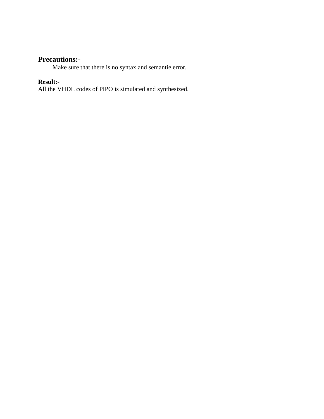## **Precautions:-**

Make sure that there is no syntax and semantie error.

### **Result:-**

All the VHDL codes of PIPO is simulated and synthesized.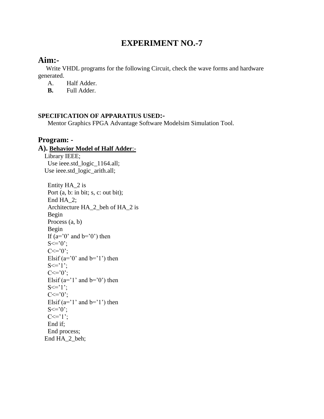# **Aim:-**

 Write VHDL programs for the following Circuit, check the wave forms and hardware generated.

A. Half Adder.

**B.** Full Adder.

### **SPECIFICATION OF APPARATIUS USED:-**

Mentor Graphics FPGA Advantage Software Modelsim Simulation Tool.

### **Program: -**

# **A). Behavior Model of Half Adder**:-

 Library IEEE; Use ieee.std\_logic\_1164.all; Use ieee.std\_logic\_arith.all;

```
Entity HA_2 is
 Port (a, b: in bit; s, c: out bit);
 End HA 2;
 Architecture HA_2_beh of HA_2 is
 Begin 
 Process (a, b)
 Begin
 If (a=0' and b=0' then
 S \leq vC \leq v:
 Elsif (a=0' and b=1') then
 S \leq 1;
 C \leq v^2Elsif (a=1' and b=0' then
 S \leq Y ?;
 C \leq vElsif (a=1' and b=1') then
 S \leq v";
 C \leq T':
 End if;
 End process;
 End HA_2_beh;
```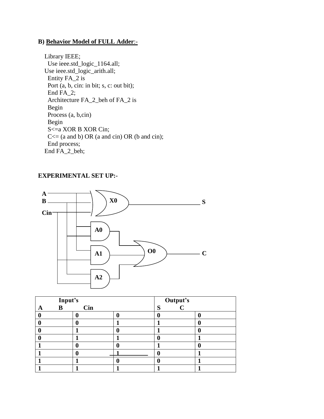### **B) Behavior Model of FULL Adder**:-

 Library IEEE; Use ieee.std\_logic\_1164.all; Use ieee.std\_logic\_arith.all; Entity FA\_2 is Port (a, b, cin: in bit; s, c: out bit); End FA\_2; Architecture FA\_2\_beh of FA\_2 is Begin Process (a, b,cin) Begin S<=a XOR B XOR Cin;  $C \leq (a \text{ and } b) \text{ OR } (a \text{ and } c \text{ in}) \text{ OR } (b \text{ and } c \text{ in});$ End process; End FA\_2\_beh;

### **EXPERIMENTAL SET UP:-**



| Input's |            | Output's<br>C |  |
|---------|------------|---------------|--|
| B<br>A  | <b>Cin</b> | S             |  |
|         |            |               |  |
|         |            |               |  |
|         |            |               |  |
|         |            |               |  |
|         |            |               |  |
|         |            |               |  |
|         |            |               |  |
|         |            |               |  |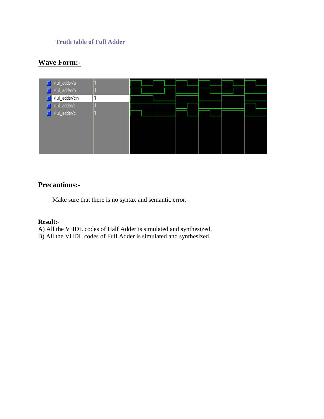### **Truth table of Full Adder**

# **Wave Form:-**

| /full_adder/a    |  |  |  |  |
|------------------|--|--|--|--|
| /full_adder/b    |  |  |  |  |
| //full_adder/cin |  |  |  |  |
| /full_adder/s    |  |  |  |  |
| /full_adder/c    |  |  |  |  |
|                  |  |  |  |  |
|                  |  |  |  |  |
|                  |  |  |  |  |
|                  |  |  |  |  |
|                  |  |  |  |  |

# **Precautions:-**

Make sure that there is no syntax and semantic error.

#### **Result:-**

A) All the VHDL codes of Half Adder is simulated and synthesized.

B) All the VHDL codes of Full Adder is simulated and synthesized.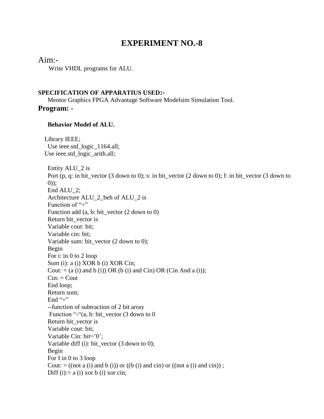### Aim:-

Write VHDL programs for ALU.

#### **SPECIFICATION OF APPARATIUS USED:-**

Mentor Graphics FPGA Advantage Software Modelsim Simulation Tool. **Program: -**

#### **Behavior Model of ALU.**

 Library IEEE; Use ieee.std\_logic\_1164.all; Use ieee.std\_logic\_arith.all; Entity ALU\_2 is Port (p, q: in bit\_vector (3 down to 0); s: in bit\_vector (2 down to 0); f: in bit\_vector (3 down to 0)); End ALU\_2; Architecture ALU\_2\_beh of ALU\_2 is Function of " $+$ " Function add (a, b: bit\_vector (2 down to 0) Return bit\_vector is Variable cout: bit; Variable cin: bit; Variable sum: bit\_vector (2 down to 0); Begin For i: in 0 to 2 loop Sum (i): a (i) XOR b (i) XOR Cin; Cout:  $= (a (i)$  and b (i)) OR (b (i) and Cin) OR (Cin And a (i));  $Cin:$   $Cout$ End loop; Return sum; End  $"+'"$ --function of subtraction of 2 bit array Function "-"(a, b: bit\_vector (3 down to 0 Return bit\_vector is Variable cout: bit; Variable Cin: bit='0'; Variable diff (i): bit\_vector (3 down to 0); Begin For I in 0 to 3 loop Cout:  $= ((not a (i) and b (i)) or ((b (i) and cin) or ((not a (i) and cin)) ;$ Diff (i):  $= a$  (i) xor b (i) xor cin;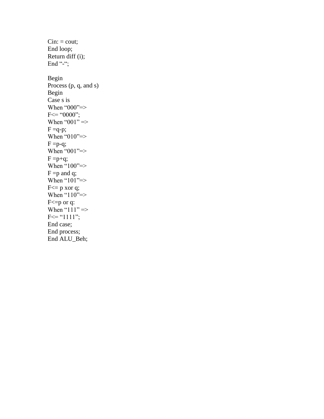$Cin: = \text{cout};$ End loop; Return diff (i); End "-"; Begin Process (p, q, and s) Begin Case s is When "000"=>  $F \leq 0000$ "; When " $001"$  =>  $F = q-p;$ When " $010" \Rightarrow$  $F = p-q;$ When " $001" \Rightarrow$  $F = p+q$ ; When  $\cdot 100$ "=>  $F = p$  and q; When " $101$ "=>  $F \leq p$  xor q; When " $110$ " => F<= p or q: When " $111" \Rightarrow$  $F \leq$  "111"; End case; End process; End ALU\_Beh;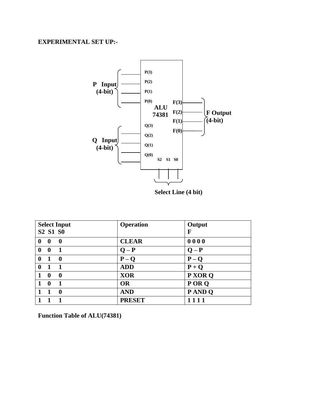

**Select Line (4 bit)**

| <b>Select Input</b>                          | <b>Operation</b> | Output  |
|----------------------------------------------|------------------|---------|
| S <sub>2</sub> S <sub>1</sub> S <sub>0</sub> |                  | F       |
| $\bf{0}$<br>$\mathbf{0}$<br>$\mathbf 0$      | <b>CLEAR</b>     | 0000    |
| $\mathbf 1$<br>$\mathbf 0$<br>$\mathbf 0$    | $Q - P$          | $Q - P$ |
| $\boldsymbol{0}$<br>$\mathbf 0$              | $P - Q$          | $P - Q$ |
| $\bf{0}$                                     | <b>ADD</b>       | $P + Q$ |
| $\boldsymbol{0}$<br>0                        | <b>XOR</b>       | P XOR Q |
| $\boldsymbol{0}$<br>$\mathbf 1$              | <b>OR</b>        | POR Q   |
| $\boldsymbol{0}$                             | <b>AND</b>       | P AND Q |
|                                              | <b>PRESET</b>    |         |

**Function Table of ALU(74381)**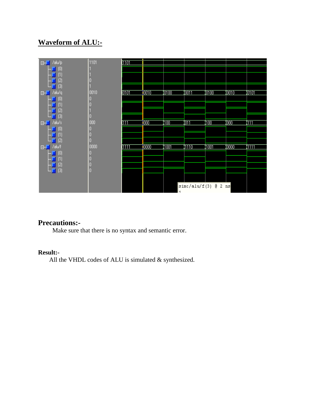# **Waveform of ALU:-**



### **Precautions:-**

Make sure that there is no syntax and semantic error.

### **Result:-**

All the VHDL codes of ALU is simulated & synthesized.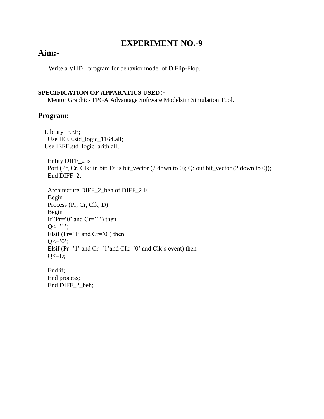# **Aim:-**

Write a VHDL program for behavior model of D Flip-Flop.

### **SPECIFICATION OF APPARATIUS USED:-**

Mentor Graphics FPGA Advantage Software Modelsim Simulation Tool.

### **Program:-**

 Library IEEE; Use IEEE.std\_logic\_1164.all; Use IEEE.std\_logic\_arith.all;

Entity DIFF\_2 is Port (Pr, Cr, Clk: in bit; D: is bit\_vector (2 down to 0); Q: out bit\_vector (2 down to 0)); End DIFF\_2;

```
Architecture DIFF_2_beh of DIFF_2 is
Begin 
Process (Pr, Cr, Clk, D)
Begin
If (Pr='0' and Cr='1') then
Q \leq 1;
Elsif (Pr='1' and Cr='0') then
O \leq v :
Elsif (Pr='1' and Cr='1' and Clk='0' and Clk's event) then
Q \leq D;
```
End if; End process; End DIFF\_2\_beh;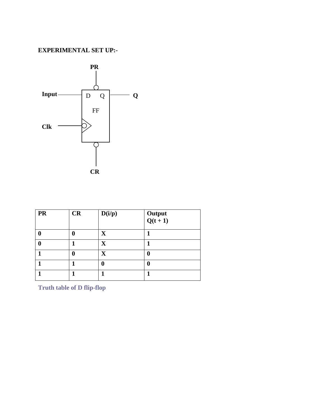

| <b>PR</b> | CR | D(i/p)                  | Output<br>$Q(t+1)$ |
|-----------|----|-------------------------|--------------------|
|           | 0  | $\overline{\mathbf{X}}$ |                    |
|           |    | $\overline{\mathbf{X}}$ |                    |
|           | 0  | $\overline{\mathbf{X}}$ | 0                  |
|           |    |                         | ſ                  |
|           |    |                         |                    |

**Truth table of D flip-flop**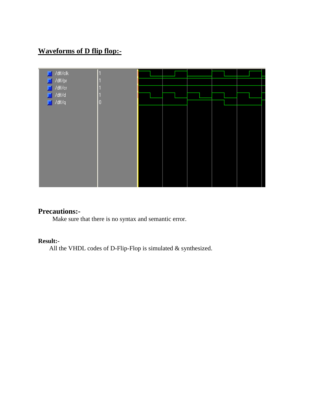# **Waveforms of D flip flop:-**

| $\blacksquare$ /dff/clk                  |   |  |  |  |
|------------------------------------------|---|--|--|--|
| $\blacksquare$ /dff/pr<br>$\Box$ /dff/cr |   |  |  |  |
| $\Box$ /dff/d                            |   |  |  |  |
| $\Box$ /dff/q                            | 0 |  |  |  |
|                                          |   |  |  |  |
|                                          |   |  |  |  |
|                                          |   |  |  |  |
|                                          |   |  |  |  |
|                                          |   |  |  |  |
|                                          |   |  |  |  |
|                                          |   |  |  |  |
|                                          |   |  |  |  |
|                                          |   |  |  |  |

### **Precautions:-**

Make sure that there is no syntax and semantic error.

### **Result:-**

All the VHDL codes of D-Flip-Flop is simulated & synthesized.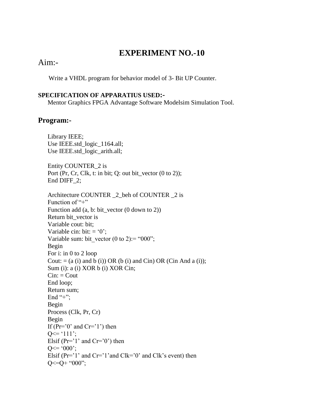## Aim:-

Write a VHDL program for behavior model of 3- Bit UP Counter.

#### **SPECIFICATION OF APPARATIUS USED:-**

Mentor Graphics FPGA Advantage Software Modelsim Simulation Tool.

### **Program:-**

 Library IEEE; Use IEEE.std\_logic\_1164.all; Use IEEE.std\_logic\_arith.all;

Entity COUNTER\_2 is Port (Pr, Cr, Clk, t: in bit; Q: out bit\_vector  $(0 \text{ to } 2)$ ); End DIFF\_2;

Architecture COUNTER  $\,$  2 beh of COUNTER  $\,$  2 is Function of  $4$ "+" Function add (a, b: bit\_vector (0 down to 2)) Return bit\_vector is Variable cout: bit; Variable cin: bit:  $= '0$ : Variable sum: bit\_vector (0 to 2):= "000"; Begin For i: in 0 to 2 loop Cout:  $= (a (i)$  and b (i)) OR (b (i) and Cin) OR (Cin And a (i)); Sum (i): a (i) XOR b (i) XOR Cin;  $Cin:$   $Cout$ End loop; Return sum; End "+": Begin Process (Clk, Pr, Cr) Begin If  $(Pr='0' and Cr='1')$  then  $Q \leq 111$ ; Elsif ( $Pr='1'$  and  $Cr='0'$ ) then  $Q \leq 000$ ; Elsif ( $Pr='1'$  and  $Cr='1'$  and  $Clk='0'$  and  $Clk's$  event) then  $Q \leq Q + "000"$ ;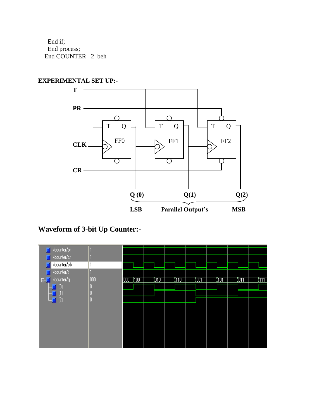End if; End process; End COUNTER \_2\_beh

### **EXPERIMENTAL SET UP:-**



# **Waveform of 3-bit Up Counter:-**

| /counter/pr        |     |                                  |             |             |   |            |             |             |
|--------------------|-----|----------------------------------|-------------|-------------|---|------------|-------------|-------------|
| /counter/cr        |     |                                  |             |             |   |            |             |             |
| /counter/clk       |     |                                  |             |             |   |            |             |             |
| /counter/t         |     |                                  |             |             |   |            |             |             |
| E- / counter/q     | 000 | $\sqrt{100}$<br>$\overline{000}$ | <u>yoro</u> | <u>1110</u> | ⅏ | <u>yoi</u> | <u>)О11</u> | <b>ATTI</b> |
| $\left( 0 \right)$ |     |                                  |             |             |   |            |             |             |
|                    |     |                                  |             |             |   |            |             |             |
| (2)                | ш   |                                  |             |             |   |            |             |             |
|                    |     |                                  |             |             |   |            |             |             |
|                    |     |                                  |             |             |   |            |             |             |
|                    |     |                                  |             |             |   |            |             |             |
|                    |     |                                  |             |             |   |            |             |             |
|                    |     |                                  |             |             |   |            |             |             |
|                    |     |                                  |             |             |   |            |             |             |